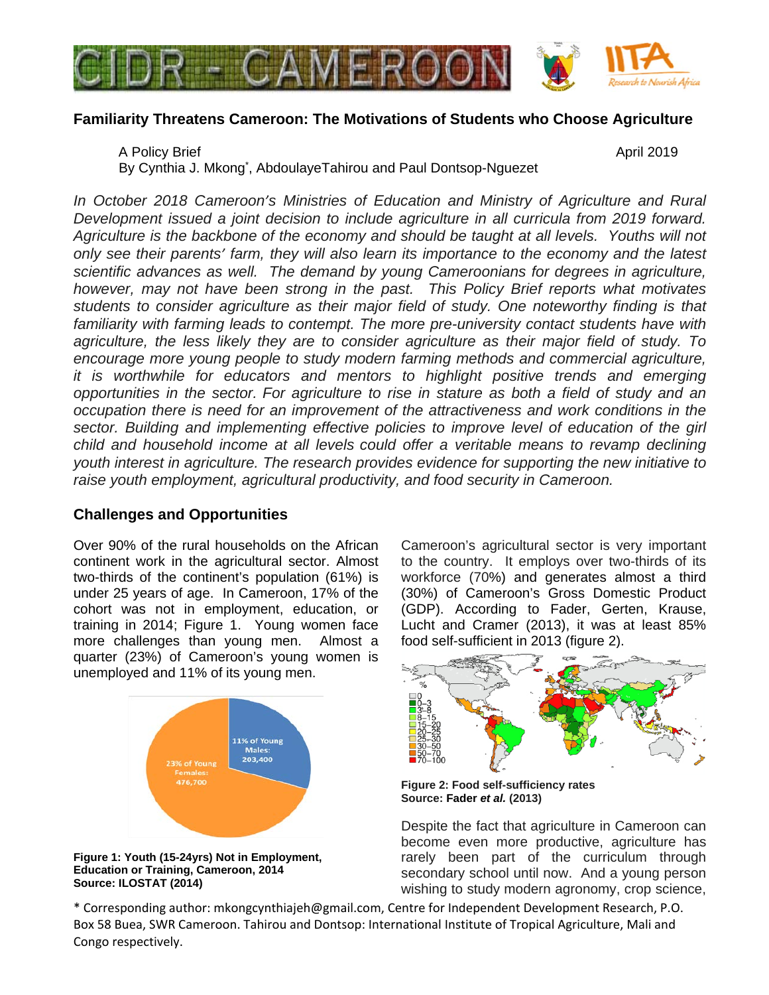

# **Familiarity Threatens Cameroon: The Motivations of Students who Choose Agriculture**

A Policy Brief April 2019 By Cynthia J. Mkong\* , AbdoulayeTahirou and Paul Dontsop-Nguezet

*In October 2018 Cameroon's Ministries of Education and Ministry of Agriculture and Rural Development issued a joint decision to include agriculture in all curricula from 2019 forward. Agriculture is the backbone of the economy and should be taught at all levels. Youths will not only see their parents' farm, they will also learn its importance to the economy and the latest scientific advances as well. The demand by young Cameroonians for degrees in agriculture, however, may not have been strong in the past. This Policy Brief reports what motivates students to consider agriculture as their major field of study. One noteworthy finding is that familiarity with farming leads to contempt. The more pre-university contact students have with agriculture, the less likely they are to consider agriculture as their major field of study. To encourage more young people to study modern farming methods and commercial agriculture, it is worthwhile for educators and mentors to highlight positive trends and emerging opportunities in the sector. For agriculture to rise in stature as both a field of study and an occupation there is need for an improvement of the attractiveness and work conditions in the sector. Building and implementing effective policies to improve level of education of the girl child and household income at all levels could offer a veritable means to revamp declining youth interest in agriculture. The research provides evidence for supporting the new initiative to raise youth employment, agricultural productivity, and food security in Cameroon.*

# **Challenges and Opportunities**

Over 90% of the rural households on the African continent work in the agricultural sector. Almost two-thirds of the continent's population (61%) is under 25 years of age. In Cameroon, 17% of the cohort was not in employment, education, or training in 2014; Figure 1. Young women face more challenges than young men. Almost a quarter (23%) of Cameroon's young women is unemployed and 11% of its young men.



**Figure 1: Youth (15-24yrs) Not in Employment, Education or Training, Cameroon, 2014 Source: ILOSTAT (2014)**

Cameroon's agricultural sector is very important to the country. It employs over two-thirds of its workforce (70%) and generates almost a third (30%) of Cameroon's Gross Domestic Product (GDP). According to Fader, Gerten, Krause, Lucht and Cramer (2013), it was at least 85% food self-sufficient in 2013 (figure 2).



**Figure 2: Food self-sufficiency rates Source: Fader** *et al.* **(2013)**

Despite the fact that agriculture in Cameroon can become even more productive, agriculture has rarely been part of the curriculum through secondary school until now. And a young person wishing to study modern agronomy, crop science,

\* Corresponding author: mkongcynthiajeh@gmail.com, Centre for Independent Development Research, P.O. Box 58 Buea, SWR Cameroon. Tahirou and Dontsop: International Institute of Tropical Agriculture, Mali and Congo respectively.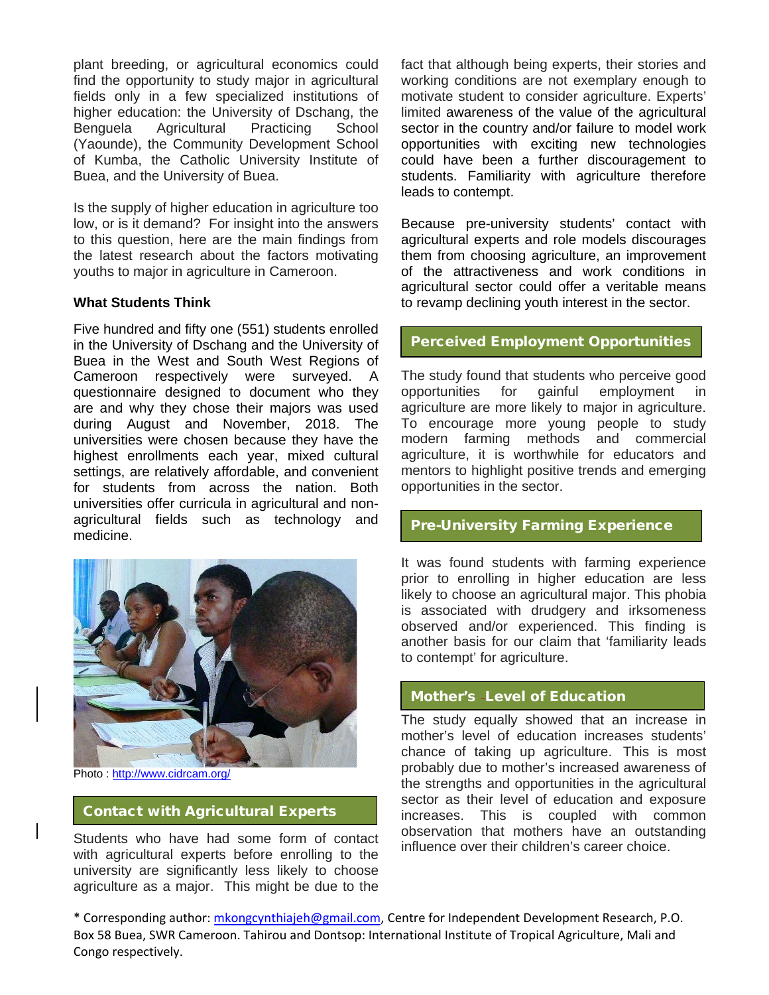plant breeding, or agricultural economics could find the opportunity to study major in agricultural fields only in a few specialized institutions of higher education: the University of Dschang, the Benguela Agricultural Practicing School (Yaounde), the Community Development School of Kumba, the Catholic University Institute of Buea, and the University of Buea.

Is the supply of higher education in agriculture too low, or is it demand? For insight into the answers to this question, here are the main findings from the latest research about the factors motivating youths to major in agriculture in Cameroon.

#### **What Students Think**

Five hundred and fifty one (551) students enrolled in the University of Dschang and the University of Buea in the West and South West Regions of Cameroon respectively were surveyed. A questionnaire designed to document who they are and why they chose their majors was used during August and November, 2018. The universities were chosen because they have the highest enrollments each year, mixed cultural settings, are relatively affordable, and convenient for students from across the nation. Both universities offer curricula in agricultural and nonagricultural fields such as technology and medicine.



Photo : <http://www.cidrcam.org/>

## Contact with Agricultural Experts

Students who have had some form of contact with agricultural experts before enrolling to the university are significantly less likely to choose agriculture as a major. This might be due to the fact that although being experts, their stories and working conditions are not exemplary enough to motivate student to consider agriculture. Experts' limited awareness of the value of the agricultural sector in the country and/or failure to model work opportunities with exciting new technologies could have been a further discouragement to students. Familiarity with agriculture therefore leads to contempt.

Because pre-university students' contact with agricultural experts and role models discourages them from choosing agriculture, an improvement of the attractiveness and work conditions in agricultural sector could offer a veritable means to revamp declining youth interest in the sector.

#### Perceived Employment Opportunities

The study found that students who perceive good opportunities for gainful employment in agriculture are more likely to major in agriculture. To encourage more young people to study modern farming methods and commercial agriculture, it is worthwhile for educators and mentors to highlight positive trends and emerging opportunities in the sector.

## Pre-University Farming Experience

It was found students with farming experience prior to enrolling in higher education are less likely to choose an agricultural major. This phobia is associated with drudgery and irksomeness observed and/or experienced. This finding is another basis for our claim that 'familiarity leads to contempt' for agriculture.

## Mother's Level of Education

The study equally showed that an increase in mother's level of education increases students' chance of taking up agriculture. This is most probably due to mother's increased awareness of the strengths and opportunities in the agricultural sector as their level of education and exposure increases. This is coupled with common observation that mothers have an outstanding influence over their children's career choice.

\* Corresponding author: [mkongcynthiajeh@gmail.com,](mailto:mkongcynthiajeh@gmail.com) Centre for Independent Development Research, P.O. Box 58 Buea, SWR Cameroon. Tahirou and Dontsop: International Institute of Tropical Agriculture, Mali and Congo respectively.